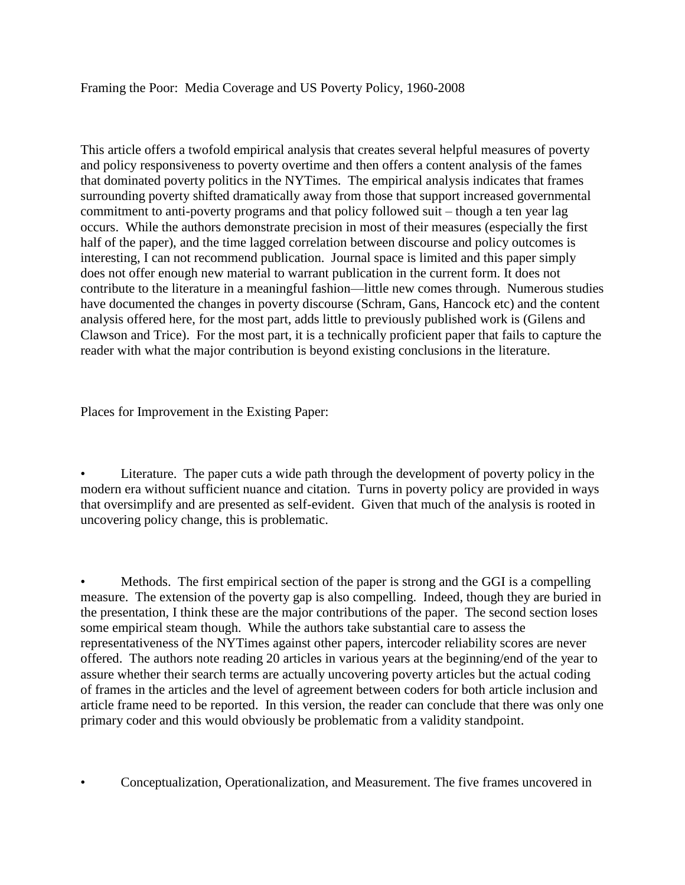## Framing the Poor: Media Coverage and US Poverty Policy, 1960-2008

This article offers a twofold empirical analysis that creates several helpful measures of poverty and policy responsiveness to poverty overtime and then offers a content analysis of the fames that dominated poverty politics in the NYTimes. The empirical analysis indicates that frames surrounding poverty shifted dramatically away from those that support increased governmental commitment to anti-poverty programs and that policy followed suit – though a ten year lag occurs. While the authors demonstrate precision in most of their measures (especially the first half of the paper), and the time lagged correlation between discourse and policy outcomes is interesting, I can not recommend publication. Journal space is limited and this paper simply does not offer enough new material to warrant publication in the current form. It does not contribute to the literature in a meaningful fashion—little new comes through. Numerous studies have documented the changes in poverty discourse (Schram, Gans, Hancock etc) and the content analysis offered here, for the most part, adds little to previously published work is (Gilens and Clawson and Trice). For the most part, it is a technically proficient paper that fails to capture the reader with what the major contribution is beyond existing conclusions in the literature.

Places for Improvement in the Existing Paper:

Literature. The paper cuts a wide path through the development of poverty policy in the modern era without sufficient nuance and citation. Turns in poverty policy are provided in ways that oversimplify and are presented as self-evident. Given that much of the analysis is rooted in uncovering policy change, this is problematic.

• Methods. The first empirical section of the paper is strong and the GGI is a compelling measure. The extension of the poverty gap is also compelling. Indeed, though they are buried in the presentation, I think these are the major contributions of the paper. The second section loses some empirical steam though. While the authors take substantial care to assess the representativeness of the NYTimes against other papers, intercoder reliability scores are never offered. The authors note reading 20 articles in various years at the beginning/end of the year to assure whether their search terms are actually uncovering poverty articles but the actual coding of frames in the articles and the level of agreement between coders for both article inclusion and article frame need to be reported. In this version, the reader can conclude that there was only one primary coder and this would obviously be problematic from a validity standpoint.

• Conceptualization, Operationalization, and Measurement. The five frames uncovered in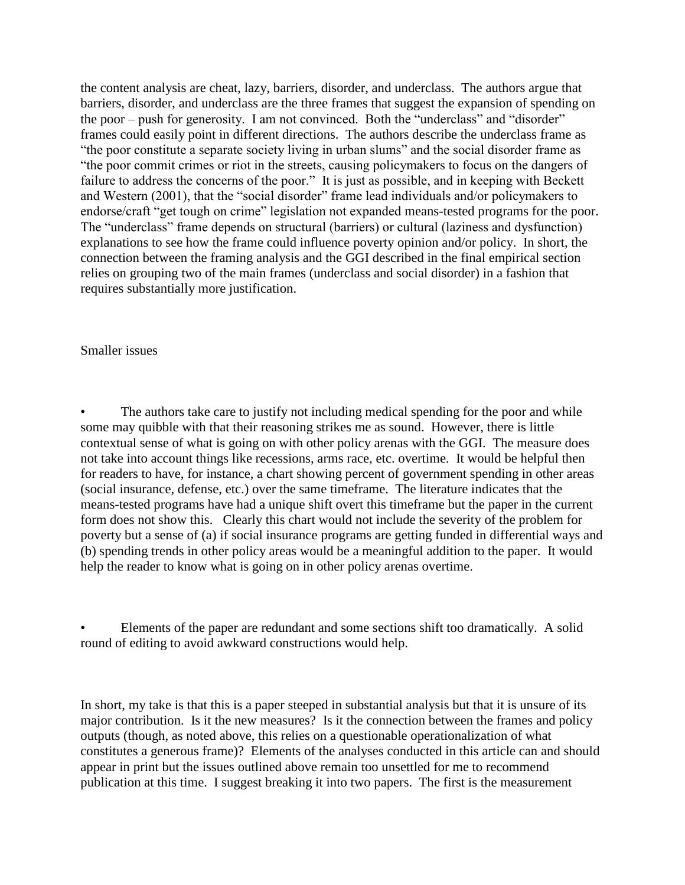the content analysis are cheat, lazy, barriers, disorder, and underclass. The authors argue that barriers, disorder, and underclass are the three frames that suggest the expansion of spending on the poor – push for generosity. I am not convinced. Both the "underclass" and "disorder" frames could easily point in different directions. The authors describe the underclass frame as "the poor constitute a separate society living in urban slums" and the social disorder frame as "the poor commit crimes or riot in the streets, causing policymakers to focus on the dangers of failure to address the concerns of the poor." It is just as possible, and in keeping with Beckett and Western (2001), that the "social disorder" frame lead individuals and/or policymakers to endorse/craft "get tough on crime" legislation not expanded means-tested programs for the poor. The "underclass" frame depends on structural (barriers) or cultural (laziness and dysfunction) explanations to see how the frame could influence poverty opinion and/or policy. In short, the connection between the framing analysis and the GGI described in the final empirical section relies on grouping two of the main frames (underclass and social disorder) in a fashion that requires substantially more justification.

## Smaller issues

The authors take care to justify not including medical spending for the poor and while some may quibble with that their reasoning strikes me as sound. However, there is little contextual sense of what is going on with other policy arenas with the GGI. The measure does not take into account things like recessions, arms race, etc. overtime. It would be helpful then for readers to have, for instance, a chart showing percent of government spending in other areas (social insurance, defense, etc.) over the same timeframe. The literature indicates that the means-tested programs have had a unique shift overt this timeframe but the paper in the current form does not show this. Clearly this chart would not include the severity of the problem for poverty but a sense of (a) if social insurance programs are getting funded in differential ways and (b) spending trends in other policy areas would be a meaningful addition to the paper. It would help the reader to know what is going on in other policy arenas overtime.

• Elements of the paper are redundant and some sections shift too dramatically. A solid round of editing to avoid awkward constructions would help.

In short, my take is that this is a paper steeped in substantial analysis but that it is unsure of its major contribution. Is it the new measures? Is it the connection between the frames and policy outputs (though, as noted above, this relies on a questionable operationalization of what constitutes a generous frame)? Elements of the analyses conducted in this article can and should appear in print but the issues outlined above remain too unsettled for me to recommend publication at this time. I suggest breaking it into two papers. The first is the measurement